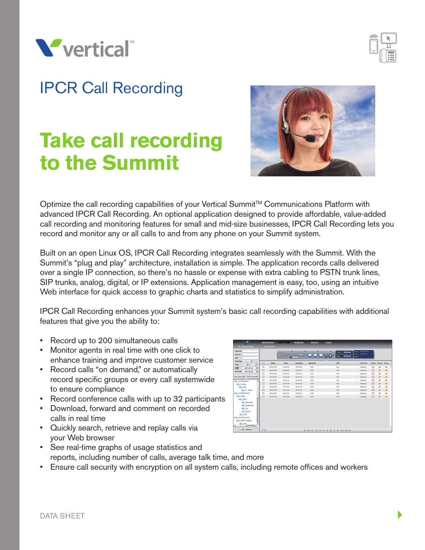



## IPCR Call Recording

# **Take call recording to the Summit**



Optimize the call recording capabilities of your Vertical Summit™ Communications Platform with advanced IPCR Call Recording. An optional application designed to provide affordable, value-added call recording and monitoring features for small and mid-size businesses, IPCR Call Recording lets you record and monitor any or all calls to and from any phone on your Summit system.

Built on an open Linux OS, IPCR Call Recording integrates seamlessly with the Summit. With the Summit's "plug and play" architecture, installation is simple. The application records calls delivered over a single IP connection, so there's no hassle or expense with extra cabling to PSTN trunk lines, SIP trunks, analog, digital, or IP extensions. Application management is easy, too, using an intuitive Web interface for quick access to graphic charts and statistics to simplify administration.

IPCR Call Recording enhances your Summit system's basic call recording capabilities with additional features that give you the ability to:

- • Record up to 200 simultaneous calls
- Monitor agents in real time with one click to enhance training and improve customer service
- • Record calls "on demand," or automatically record specific groups or every call systemwide to ensure compliance
- Record conference calls with up to 32 participants
- • Download, forward and comment on recorded calls in real time
- Quickly search, retrieve and replay calls via your Web browser
- • See real-time graphs of usage statistics and reports, including number of calls, average talk time, and more
- • Ensure call security with encryption on all system calls, including remote offices and workers

| - Agent ID                                                  |        |             |             |                 |                 | -<br><b>Total</b>        | Data: 0000-00-00 |          |                  |    |
|-------------------------------------------------------------|--------|-------------|-------------|-----------------|-----------------|--------------------------|------------------|----------|------------------|----|
| - User 10                                                   |        |             |             |                 |                 | $***$<br>hi ann<br>Agent | Time: 00:00:00   |          |                  |    |
|                                                             |        |             |             | $\bullet$       | <b>COLOR</b>    |                          |                  |          |                  |    |
| - Call Type<br>$ \times$<br>$-1 = 1 - 1$                    | $\Box$ | <b>Dute</b> | <b>Time</b> | <b>Duration</b> | <b>Agent 10</b> | $1$                      | <b>Call Type</b> |          | Lislen Hema Down |    |
| $-200$<br>2011-07-13                                        | O      | 20110720    | 18-24-01    | 00:00:05        | 1224            | 100                      | Outgoing         | $\Omega$ | ╭                | ٠  |
| 2011-07-29<br>. End Date                                    | $\Box$ | 20110728    | 18-23-40    | 00:00:13        | 1224            | 100                      | Outgoing         | $\Omega$ | ٠                | ٠  |
|                                                             | $\Box$ | 20110726    | 18-23-17    | 00-00-15        | 1324            | 100                      | Outgoing         | Ω        | ٠                | ٠  |
| <b>Book Develope   Multi Develope</b>                       | $\Box$ | 20118726    | 18:30:15    | 00:02:54        | 1224            | 100                      | Outgoing         | $\Omega$ | ٠                | ٠  |
| <b>SCATE</b><br>$\cdot$<br>*ACLG-Dricsson                   | O      | 20110728    | 18:36:14    | 00:00:08        | 1224            | 100                      | Outgoing         | $\Omega$ | ٠                | ٠  |
| <b>va</b> Diarea                                            | $\Box$ | 20110726    | 18-15-08    | 00:00:19        | 1334            | 100                      | Outgoing         | $\Omega$ | ٠                | a. |
| <b>PACHY</b>                                                | O      | 20110726    | 18-12-20    | 00-01-35        | 1224            | 100                      | Outgoing         | ົ        | ٠                | ٠  |
| LEC C. Jason                                                | O      | 20110726    | 18-10-42    | 00-00-07        | 1224            | 100                      | Outgoing         | $\Omega$ | ٠                | ٠  |
| *A CLG-Encason2                                             | O      | 20110726    | 18:10:17    | 00-00-17        | 1324            | 100                      | Outgoing         | $\Omega$ | ٠                | ٠  |
| *AC FBD                                                     | o      | 20110726    | 18:10:00    | 00:00:09        | 1224            | 100                      | Outgoing         | $\Omega$ | ٠                | ÷  |
| <b>va</b> Decs<br><b>IEC</b> Hillenes<br><b>IL Anderson</b> |        |             |             |                 |                 |                          |                  |          |                  |    |
| <b>MOUT</b>                                                 |        |             |             |                 |                 |                          |                  |          |                  |    |
| <b>GC</b> beaut                                             |        |             |             |                 |                 |                          |                  |          |                  |    |
| <b>BCON</b>                                                 |        |             |             |                 |                 |                          |                  |          |                  |    |
| *A LLG-Ericsson3                                            |        |             |             |                 |                 |                          |                  |          |                  |    |
| <b>*A</b> CRAD Support                                      |        |             |             |                 |                 |                          |                  |          |                  |    |
|                                                             |        |             |             |                 |                 |                          |                  |          |                  |    |